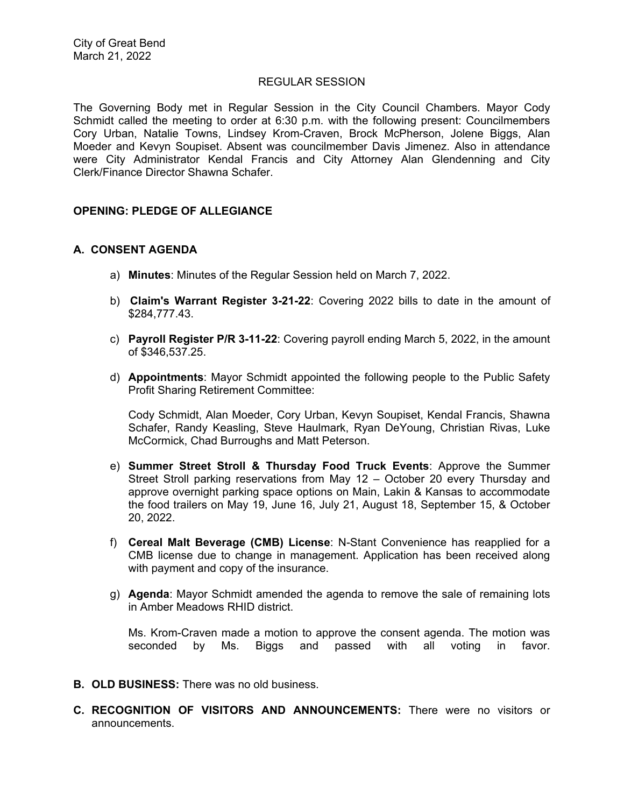#### REGULAR SESSION

The Governing Body met in Regular Session in the City Council Chambers. Mayor Cody Schmidt called the meeting to order at 6:30 p.m. with the following present: Councilmembers Cory Urban, Natalie Towns, Lindsey Krom-Craven, Brock McPherson, Jolene Biggs, Alan Moeder and Kevyn Soupiset. Absent was councilmember Davis Jimenez. Also in attendance were City Administrator Kendal Francis and City Attorney Alan Glendenning and City Clerk/Finance Director Shawna Schafer.

# **OPENING: PLEDGE OF ALLEGIANCE**

# **A. CONSENT AGENDA**

- a) **Minutes**: Minutes of the Regular Session held on March 7, 2022.
- b) **Claim's Warrant Register 3-21-22**: Covering 2022 bills to date in the amount of \$284,777.43.
- c) **Payroll Register P/R 3-11-22**: Covering payroll ending March 5, 2022, in the amount of \$346,537.25.
- d) **Appointments**: Mayor Schmidt appointed the following people to the Public Safety Profit Sharing Retirement Committee:

Cody Schmidt, Alan Moeder, Cory Urban, Kevyn Soupiset, Kendal Francis, Shawna Schafer, Randy Keasling, Steve Haulmark, Ryan DeYoung, Christian Rivas, Luke McCormick, Chad Burroughs and Matt Peterson.

- e) **Summer Street Stroll & Thursday Food Truck Events**: Approve the Summer Street Stroll parking reservations from May 12 – October 20 every Thursday and approve overnight parking space options on Main, Lakin & Kansas to accommodate the food trailers on May 19, June 16, July 21, August 18, September 15, & October 20, 2022.
- f) **Cereal Malt Beverage (CMB) License**: N-Stant Convenience has reapplied for a CMB license due to change in management. Application has been received along with payment and copy of the insurance.
- g) **Agenda**: Mayor Schmidt amended the agenda to remove the sale of remaining lots in Amber Meadows RHID district.

Ms. Krom-Craven made a motion to approve the consent agenda. The motion was seconded by Ms. Biggs and passed with all voting in favor.

- **B. OLD BUSINESS:** There was no old business.
- **C. RECOGNITION OF VISITORS AND ANNOUNCEMENTS:** There were no visitors or announcements.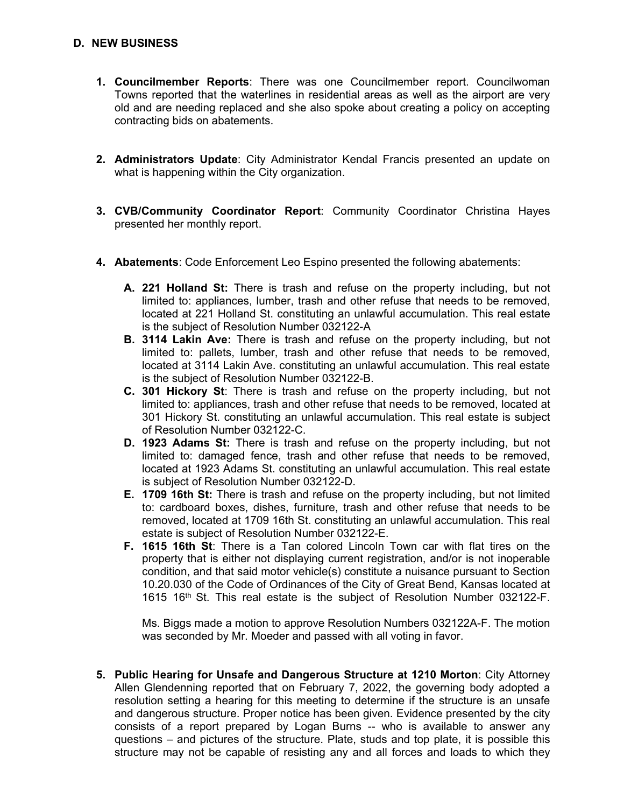# **D. NEW BUSINESS**

- **1. Councilmember Reports**: There was one Councilmember report. Councilwoman Towns reported that the waterlines in residential areas as well as the airport are very old and are needing replaced and she also spoke about creating a policy on accepting contracting bids on abatements.
- **2. Administrators Update**: City Administrator Kendal Francis presented an update on what is happening within the City organization.
- **3. CVB/Community Coordinator Report**: Community Coordinator Christina Hayes presented her monthly report.
- **4. Abatements**: Code Enforcement Leo Espino presented the following abatements:
	- **A. 221 Holland St:** There is trash and refuse on the property including, but not limited to: appliances, lumber, trash and other refuse that needs to be removed, located at 221 Holland St. constituting an unlawful accumulation. This real estate is the subject of Resolution Number 032122-A
	- **B. 3114 Lakin Ave:** There is trash and refuse on the property including, but not limited to: pallets, lumber, trash and other refuse that needs to be removed, located at 3114 Lakin Ave. constituting an unlawful accumulation. This real estate is the subject of Resolution Number 032122-B.
	- **C. 301 Hickory St**: There is trash and refuse on the property including, but not limited to: appliances, trash and other refuse that needs to be removed, located at 301 Hickory St. constituting an unlawful accumulation. This real estate is subject of Resolution Number 032122-C.
	- **D. 1923 Adams St:** There is trash and refuse on the property including, but not limited to: damaged fence, trash and other refuse that needs to be removed, located at 1923 Adams St. constituting an unlawful accumulation. This real estate is subject of Resolution Number 032122-D.
	- **E. 1709 16th St:** There is trash and refuse on the property including, but not limited to: cardboard boxes, dishes, furniture, trash and other refuse that needs to be removed, located at 1709 16th St. constituting an unlawful accumulation. This real estate is subject of Resolution Number 032122-E.
	- **F. 1615 16th St**: There is a Tan colored Lincoln Town car with flat tires on the property that is either not displaying current registration, and/or is not inoperable condition, and that said motor vehicle(s) constitute a nuisance pursuant to Section 10.20.030 of the Code of Ordinances of the City of Great Bend, Kansas located at 1615 16th St. This real estate is the subject of Resolution Number 032122-F.

Ms. Biggs made a motion to approve Resolution Numbers 032122A-F. The motion was seconded by Mr. Moeder and passed with all voting in favor.

**5. Public Hearing for Unsafe and Dangerous Structure at 1210 Morton**: City Attorney Allen Glendenning reported that on February 7, 2022, the governing body adopted a resolution setting a hearing for this meeting to determine if the structure is an unsafe and dangerous structure. Proper notice has been given. Evidence presented by the city consists of a report prepared by Logan Burns -- who is available to answer any questions – and pictures of the structure. Plate, studs and top plate, it is possible this structure may not be capable of resisting any and all forces and loads to which they